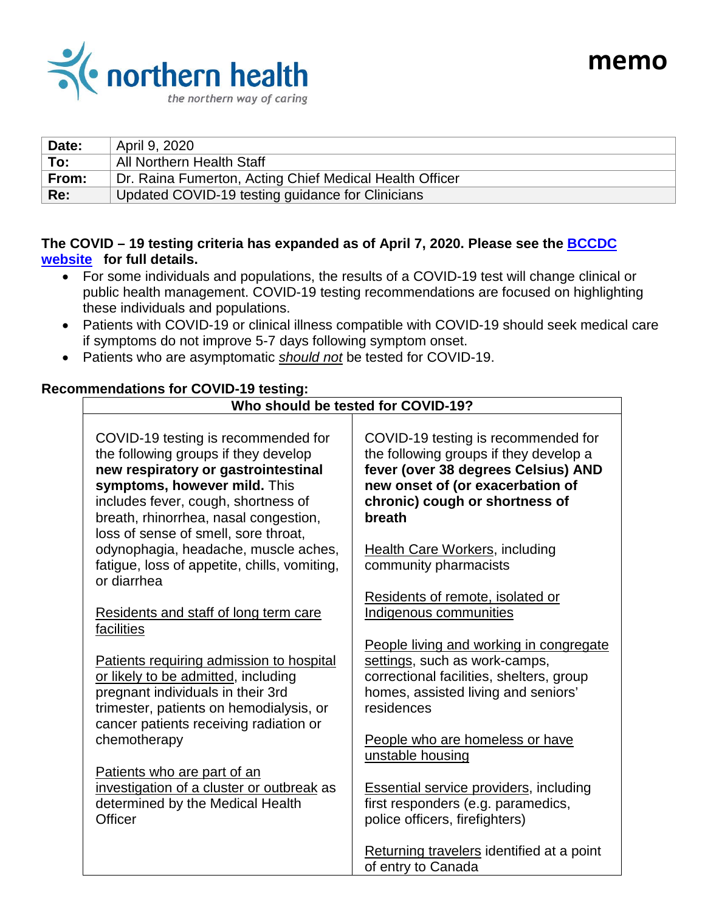

| Date: | April 9, 2020                                           |
|-------|---------------------------------------------------------|
| To:   | All Northern Health Staff                               |
| From: | Dr. Raina Fumerton, Acting Chief Medical Health Officer |
| Re:   | Updated COVID-19 testing guidance for Clinicians        |

**memo**

# **The COVID – 19 testing criteria has expanded as of April 7, 2020. Please see the [BCCDC](http://www.bccdc.ca/health-professionals/clinical-resources/covid-19-care/lab-testing)  [website](http://www.bccdc.ca/health-professionals/clinical-resources/covid-19-care/lab-testing) for full details.**

- For some individuals and populations, the results of a COVID-19 test will change clinical or public health management. COVID-19 testing recommendations are focused on highlighting these individuals and populations.
- Patients with COVID-19 or clinical illness compatible with COVID-19 should seek medical care if symptoms do not improve 5-7 days following symptom onset.
- Patients who are asymptomatic *should not* be tested for COVID-19.

#### **Recommendations for COVID-19 testing: Who should be tested for COVID-19?**

| COVID-19 testing is recommended for<br>the following groups if they develop<br>new respiratory or gastrointestinal<br>symptoms, however mild. This<br>includes fever, cough, shortness of<br>breath, rhinorrhea, nasal congestion,<br>loss of sense of smell, sore throat, | COVID-19 testing is recommended for<br>the following groups if they develop a<br>fever (over 38 degrees Celsius) AND<br>new onset of (or exacerbation of<br>chronic) cough or shortness of<br>breath |
|----------------------------------------------------------------------------------------------------------------------------------------------------------------------------------------------------------------------------------------------------------------------------|------------------------------------------------------------------------------------------------------------------------------------------------------------------------------------------------------|
| odynophagia, headache, muscle aches,<br>fatigue, loss of appetite, chills, vomiting,<br>or diarrhea                                                                                                                                                                        | <b>Health Care Workers, including</b><br>community pharmacists                                                                                                                                       |
| Residents and staff of long term care<br>facilities                                                                                                                                                                                                                        | Residents of remote, isolated or<br>Indigenous communities                                                                                                                                           |
| Patients requiring admission to hospital<br>or likely to be admitted, including<br>pregnant individuals in their 3rd<br>trimester, patients on hemodialysis, or<br>cancer patients receiving radiation or                                                                  | People living and working in congregate<br>settings, such as work-camps,<br>correctional facilities, shelters, group<br>homes, assisted living and seniors'<br>residences                            |
| chemotherapy                                                                                                                                                                                                                                                               | People who are homeless or have<br>unstable housing                                                                                                                                                  |
| Patients who are part of an<br>investigation of a cluster or outbreak as<br>determined by the Medical Health<br>Officer                                                                                                                                                    | <b>Essential service providers, including</b><br>first responders (e.g. paramedics,<br>police officers, firefighters)                                                                                |
|                                                                                                                                                                                                                                                                            | Returning travelers identified at a point<br>of entry to Canada                                                                                                                                      |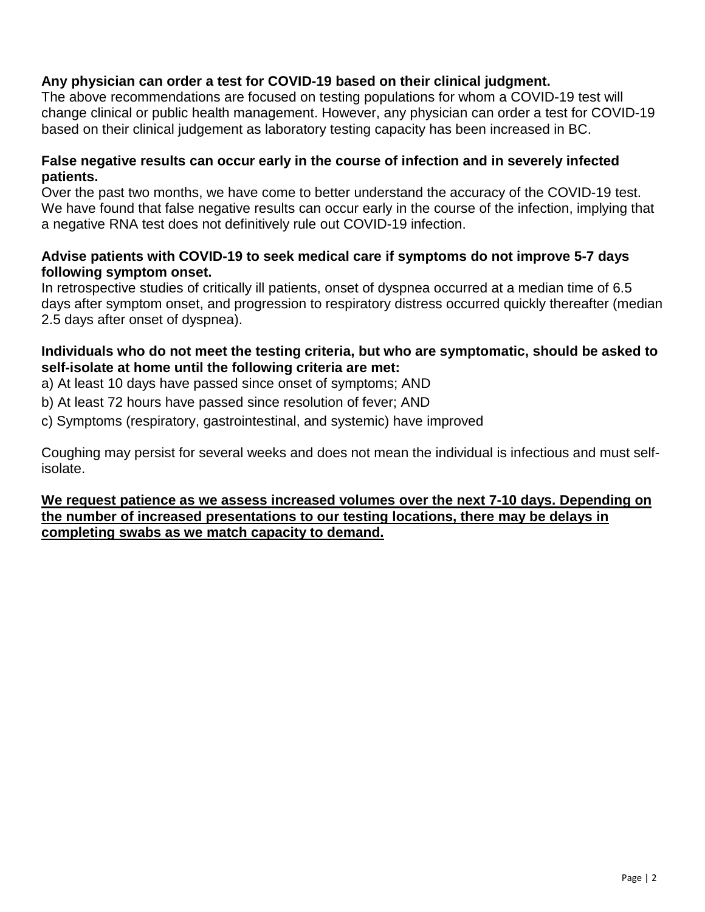## **Any physician can order a test for COVID-19 based on their clinical judgment.**

The above recommendations are focused on testing populations for whom a COVID-19 test will change clinical or public health management. However, any physician can order a test for COVID-19 based on their clinical judgement as laboratory testing capacity has been increased in BC.

#### **False negative results can occur early in the course of infection and in severely infected patients.**

Over the past two months, we have come to better understand the accuracy of the COVID-19 test. We have found that false negative results can occur early in the course of the infection, implying that a negative RNA test does not definitively rule out COVID-19 infection.

## **Advise patients with COVID-19 to seek medical care if symptoms do not improve 5-7 days following symptom onset.**

In retrospective studies of critically ill patients, onset of dyspnea occurred at a median time of 6.5 days after symptom onset, and progression to respiratory distress occurred quickly thereafter (median 2.5 days after onset of dyspnea).

## **Individuals who do not meet the testing criteria, but who are symptomatic, should be asked to self-isolate at home until the following criteria are met:**

a) At least 10 days have passed since onset of symptoms; AND

b) At least 72 hours have passed since resolution of fever; AND

c) Symptoms (respiratory, gastrointestinal, and systemic) have improved

Coughing may persist for several weeks and does not mean the individual is infectious and must selfisolate.

**We request patience as we assess increased volumes over the next 7-10 days. Depending on the number of increased presentations to our testing locations, there may be delays in completing swabs as we match capacity to demand.**